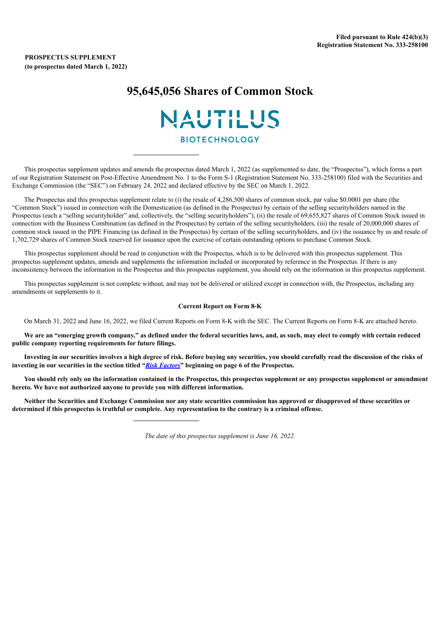# **95,645,056 Shares of Common Stock**

# NAUTILUS

**BIOTECHNOLOGY** 

This prospectus supplement updates and amends the prospectus dated March 1, 2022 (as supplemented to date, the "Prospectus"), which forms a part of our Registration Statement on Post-Effective Amendment No. 1 to the Form S-1 (Registration Statement No. 333-258100) filed with the Securities and Exchange Commission (the "SEC") on February 24, 2022 and declared effective by the SEC on March 1, 2022.

The Prospectus and this prospectus supplement relate to (i) the resale of 4,286,500 shares of common stock, par value \$0.0001 per share (the "Common Stock") issued in connection with the Domestication (as defined in the Prospectus) by certain of the selling securityholders named in the Prospectus (each a "selling securityholder" and, collectively, the "selling securityholders"), (ii) the resale of 69,655,827 shares of Common Stock issued in connection with the Business Combination (as defined in the Prospectus) by certain of the selling securityholders, (iii) the resale of 20,000,000 shares of common stock issued in the PIPE Financing (as defined in the Prospectus) by certain of the selling securityholders, and (iv) the issuance by us and resale of 1,702,729 shares of Common Stock reserved for issuance upon the exercise of certain outstanding options to purchase Common Stock.

This prospectus supplement should be read in conjunction with the Prospectus, which is to be delivered with this prospectus supplement. This prospectus supplement updates, amends and supplements the information included or incorporated by reference in the Prospectus. If there is any inconsistency between the information in the Prospectus and this prospectus supplement, you should rely on the information in this prospectus supplement.

This prospectus supplement is not complete without, and may not be delivered or utilized except in connection with, the Prospectus, including any amendments or supplements to it.

#### **Current Report on Form 8-K**

On March 31, 2022 and June 16, 2022, we filed Current Reports on Form 8-K with the SEC. The Current Reports on Form 8-K are attached hereto.

We are an "emerging growth company," as defined under the federal securities laws, and, as such, may elect to comply with certain reduced **public company reporting requirements for future filings.**

Investing in our securities involves a high degree of risk. Before buying any securities, you should carefully read the discussion of the risks of investing in our securities in the section titled "Risk [Factors](https://www.sec.gov/Archives/edgar/data/0001808805/000180880522000048/a2022q110-qprosupp.htm#i4657294e83c84594866466138495abae_127)" beginning on page 6 of the Prospectus.

You should rely only on the information contained in the Prospectus, this prospectus supplement or any prospectus supplement or amendment **hereto. We have not authorized anyone to provide you with different information.**

Neither the Securities and Exchange Commission nor any state securities commission has approved or disapproved of these securities or determined if this prospectus is truthful or complete. Any representation to the contrary is a criminal offense.

*The date of this prospectus supplement is June 16, 2022.*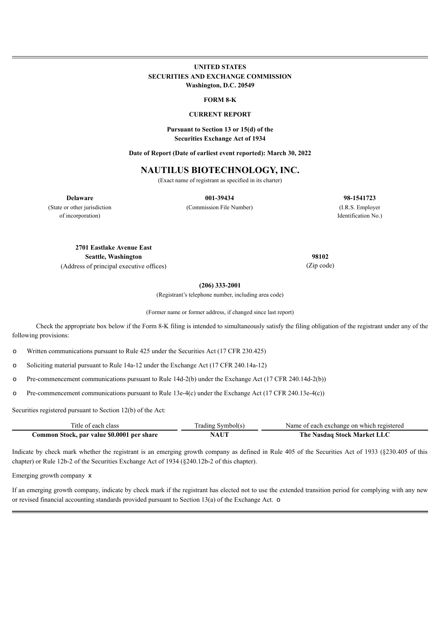# **UNITED STATES SECURITIES AND EXCHANGE COMMISSION Washington, D.C. 20549**

#### **FORM 8-K**

#### **CURRENT REPORT**

### **Pursuant to Section 13 or 15(d) of the Securities Exchange Act of 1934**

**Date of Report (Date of earliest event reported): March 30, 2022**

# **NAUTILUS BIOTECHNOLOGY, INC.**

(Exact name of registrant as specified in its charter)

**Delaware**

**001-39434**

(Commission File Number)

**98-1541723** (I.R.S. Employer Identification No.)

(State or other jurisdiction of incorporation)

> **2701 Eastlake Avenue East Seattle, Washington**

(Address of principal executive offices)

**98102** (Zip code)

**(206) 333-2001**

(Registrant's telephone number, including area code)

(Former name or former address, if changed since last report)

Check the appropriate box below if the Form 8-K filing is intended to simultaneously satisfy the filing obligation of the registrant under any of the following provisions:

o Written communications pursuant to Rule 425 under the Securities Act (17 CFR 230.425)

o Soliciting material pursuant to Rule 14a-12 under the Exchange Act (17 CFR 240.14a-12)

o Pre-commencement communications pursuant to Rule 14d-2(b) under the Exchange Act (17 CFR 240.14d-2(b))

o Pre-commencement communications pursuant to Rule 13e-4(c) under the Exchange Act (17 CFR 240.13e-4(c))

Securities registered pursuant to Section 12(b) of the Act:

| Title of each class                        | Trading Symbol(s) | Name of each exchange on which registered |
|--------------------------------------------|-------------------|-------------------------------------------|
| Common Stock, par value \$0.0001 per share | <b>NAUT</b>       | The Nasdaq Stock Market LLC               |

Indicate by check mark whether the registrant is an emerging growth company as defined in Rule 405 of the Securities Act of 1933 (§230.405 of this chapter) or Rule 12b-2 of the Securities Exchange Act of 1934 (§240.12b-2 of this chapter).

Emerging growth company x

If an emerging growth company, indicate by check mark if the registrant has elected not to use the extended transition period for complying with any new or revised financial accounting standards provided pursuant to Section 13(a) of the Exchange Act. o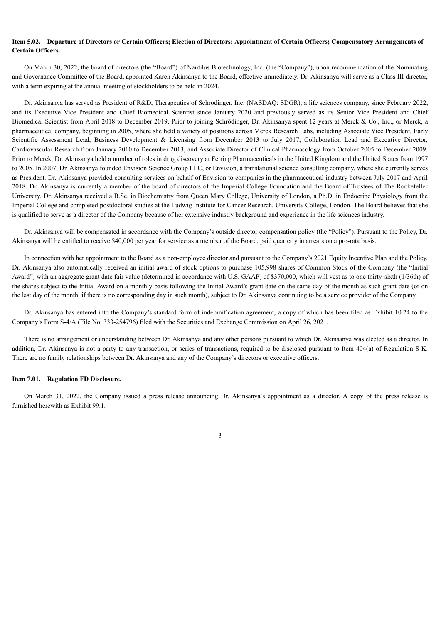#### Item 5.02. Departure of Directors or Certain Officers; Election of Directors; Appointment of Certain Officers; Compensatory Arrangements of **Certain Officers.**

On March 30, 2022, the board of directors (the "Board") of Nautilus Biotechnology, Inc. (the "Company"), upon recommendation of the Nominating and Governance Committee of the Board, appointed Karen Akinsanya to the Board, effective immediately. Dr. Akinsanya will serve as a Class III director, with a term expiring at the annual meeting of stockholders to be held in 2024.

Dr. Akinsanya has served as President of R&D, Therapeutics of Schrödinger, Inc. (NASDAQ: SDGR), a life sciences company, since February 2022, and its Executive Vice President and Chief Biomedical Scientist since January 2020 and previously served as its Senior Vice President and Chief Biomedical Scientist from April 2018 to December 2019. Prior to joining Schrödinger, Dr. Akinsanya spent 12 years at Merck & Co., Inc., or Merck, a pharmaceutical company, beginning in 2005, where she held a variety of positions across Merck Research Labs, including Associate Vice President, Early Scientific Assessment Lead, Business Development & Licensing from December 2013 to July 2017, Collaboration Lead and Executive Director, Cardiovascular Research from January 2010 to December 2013, and Associate Director of Clinical Pharmacology from October 2005 to December 2009. Prior to Merck, Dr. Akinsanya held a number of roles in drug discovery at Ferring Pharmaceuticals in the United Kingdom and the United States from 1997 to 2005. In 2007, Dr. Akinsanya founded Envision Science Group LLC, or Envision, a translational science consulting company, where she currently serves as President. Dr. Akinsanya provided consulting services on behalf of Envision to companies in the pharmaceutical industry between July 2017 and April 2018. Dr. Akinsanya is currently a member of the board of directors of the Imperial College Foundation and the Board of Trustees of The Rockefeller University. Dr. Akinsanya received a B.Sc. in Biochemistry from Queen Mary College, University of London, a Ph.D. in Endocrine Physiology from the Imperial College and completed postdoctoral studies at the Ludwig Institute for Cancer Research, University College, London. The Board believes that she is qualified to serve as a director of the Company because of her extensive industry background and experience in the life sciences industry.

Dr. Akinsanya will be compensated in accordance with the Company's outside director compensation policy (the "Policy"). Pursuant to the Policy, Dr. Akinsanya will be entitled to receive \$40,000 per year for service as a member of the Board, paid quarterly in arrears on a pro-rata basis.

In connection with her appointment to the Board as a non-employee director and pursuant to the Company's 2021 Equity Incentive Plan and the Policy, Dr. Akinsanya also automatically received an initial award of stock options to purchase 105,998 shares of Common Stock of the Company (the "Initial Award") with an aggregate grant date fair value (determined in accordance with U.S. GAAP) of \$370,000, which will vest as to one thirty-sixth (1/36th) of the shares subject to the Initial Award on a monthly basis following the Initial Award's grant date on the same day of the month as such grant date (or on the last day of the month, if there is no corresponding day in such month), subject to Dr. Akinsanya continuing to be a service provider of the Company.

Dr. Akinsanya has entered into the Company's standard form of indemnification agreement, a copy of which has been filed as Exhibit 10.24 to the Company's Form S-4/A (File No. 333-254796) filed with the Securities and Exchange Commission on April 26, 2021.

There is no arrangement or understanding between Dr. Akinsanya and any other persons pursuant to which Dr. Akinsanya was elected as a director. In addition, Dr. Akinsanya is not a party to any transaction, or series of transactions, required to be disclosed pursuant to Item 404(a) of Regulation S-K. There are no family relationships between Dr. Akinsanya and any of the Company's directors or executive officers.

#### **Item 7.01. Regulation FD Disclosure.**

On March 31, 2022, the Company issued a press release announcing Dr. Akinsanya's appointment as a director. A copy of the press release is furnished herewith as Exhibit 99.1.

3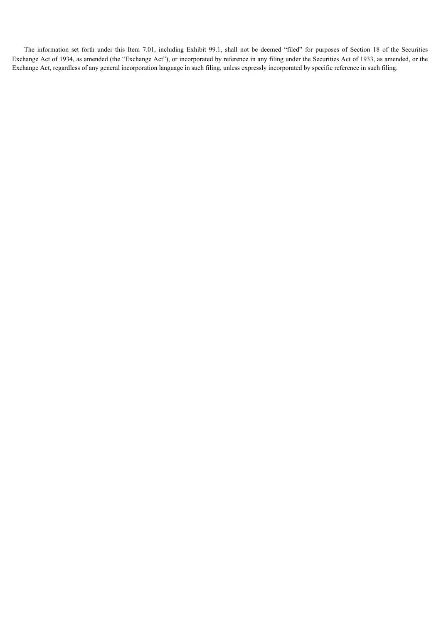The information set forth under this Item 7.01, including Exhibit 99.1, shall not be deemed "filed" for purposes of Section 18 of the Securities Exchange Act of 1934, as amended (the "Exchange Act"), or incorporated by reference in any filing under the Securities Act of 1933, as amended, or the Exchange Act, regardless of any general incorporation language in such filing, unless expressly incorporated by specific reference in such filing.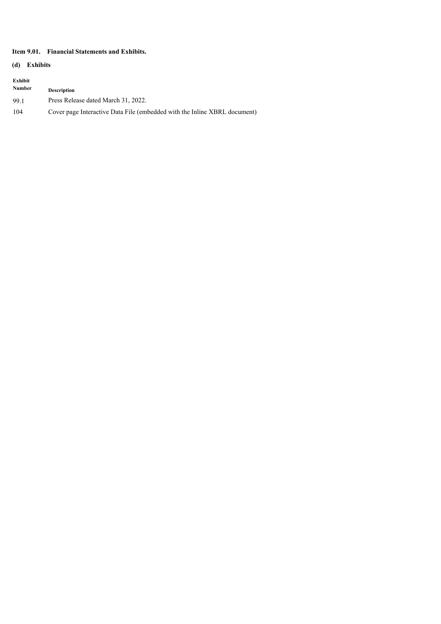# **Item 9.01. Financial Statements and Exhibits.**

# **(d) Exhibits**

| Exhibit<br>Number | <b>Description</b>                                                        |
|-------------------|---------------------------------------------------------------------------|
| 99.1              | Press Release dated March 31, 2022.                                       |
| 104               | Cover page Interactive Data File (embedded with the Inline XBRL document) |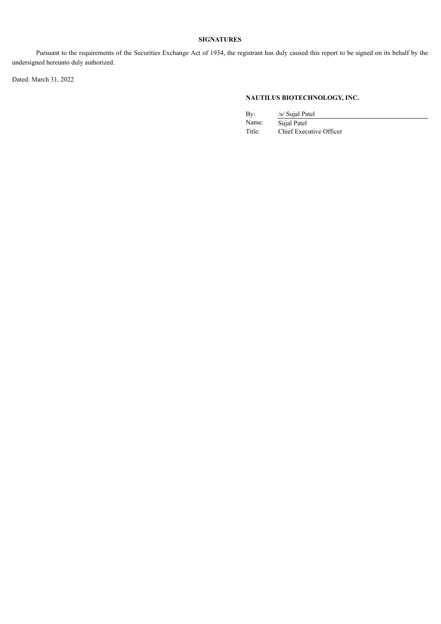# **SIGNATURES**

Pursuant to the requirements of the Securities Exchange Act of 1934, the registrant has duly caused this report to be signed on its behalf by the undersigned hereunto duly authorized.

Dated: March 31, 2022

# **NAUTILUS BIOTECHNOLOGY, INC.**

| Bv:    | /s/ Sujal Patel         |
|--------|-------------------------|
| Name:  | Sujal Patel             |
| Title: | Chief Executive Officer |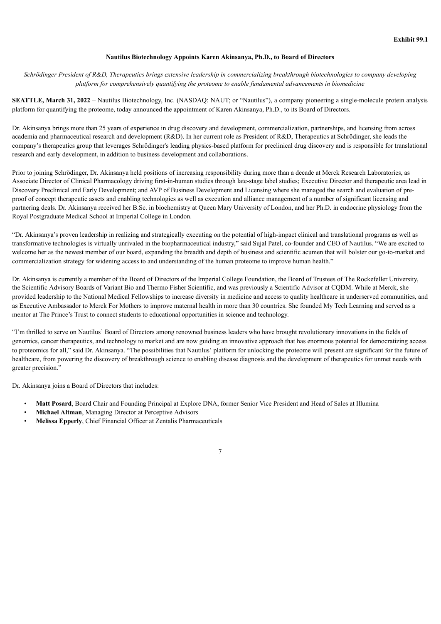#### **Nautilus Biotechnology Appoints Karen Akinsanya, Ph.D., to Board of Directors**

Schrödinger President of R&D, Therapeutics brings extensive leadership in commercializing breakthrough biotechnologies to company developing *platform for comprehensively quantifying the proteome to enable fundamental advancements in biomedicine*

**SEATTLE, March 31, 2022** – Nautilus Biotechnology, Inc. (NASDAQ: NAUT; or "Nautilus"), a company pioneering a single-molecule protein analysis platform for quantifying the proteome, today announced the appointment of Karen Akinsanya, Ph.D., to its Board of Directors.

Dr. Akinsanya brings more than 25 years of experience in drug discovery and development, commercialization, partnerships, and licensing from across academia and pharmaceutical research and development (R&D). In her current role as President of R&D, Therapeutics at Schrödinger, she leads the company's therapeutics group that leverages Schrödinger's leading physics-based platform for preclinical drug discovery and is responsible for translational research and early development, in addition to business development and collaborations.

Prior to joining Schrödinger, Dr. Akinsanya held positions of increasing responsibility during more than a decade at Merck Research Laboratories, as Associate Director of Clinical Pharmacology driving first-in-human studies through late-stage label studies; Executive Director and therapeutic area lead in Discovery Preclinical and Early Development; and AVP of Business Development and Licensing where she managed the search and evaluation of preproof of concept therapeutic assets and enabling technologies as well as execution and alliance management of a number of significant licensing and partnering deals. Dr. Akinsanya received her B.Sc. in biochemistry at Queen Mary University of London, and her Ph.D. in endocrine physiology from the Royal Postgraduate Medical School at Imperial College in London.

"Dr. Akinsanya's proven leadership in realizing and strategically executing on the potential of high-impact clinical and translational programs as well as transformative technologies is virtually unrivaled in the biopharmaceutical industry," said Sujal Patel, co-founder and CEO of Nautilus. "We are excited to welcome her as the newest member of our board, expanding the breadth and depth of business and scientific acumen that will bolster our go-to-market and commercialization strategy for widening access to and understanding of the human proteome to improve human health."

Dr. Akinsanya is currently a member of the Board of Directors of the Imperial College Foundation, the Board of Trustees of The Rockefeller University, the Scientific Advisory Boards of Variant Bio and Thermo Fisher Scientific, and was previously a Scientific Advisor at CQDM. While at Merck, she provided leadership to the National Medical Fellowships to increase diversity in medicine and access to quality healthcare in underserved communities, and as Executive Ambassador to Merck For Mothers to improve maternal health in more than 30 countries. She founded My Tech Learning and served as a mentor at The Prince's Trust to connect students to educational opportunities in science and technology.

"I'm thrilled to serve on Nautilus' Board of Directors among renowned business leaders who have brought revolutionary innovations in the fields of genomics, cancer therapeutics, and technology to market and are now guiding an innovative approach that has enormous potential for democratizing access to proteomics for all," said Dr. Akinsanya. "The possibilities that Nautilus' platform for unlocking the proteome will present are significant for the future of healthcare, from powering the discovery of breakthrough science to enabling disease diagnosis and the development of therapeutics for unmet needs with greater precision."

Dr. Akinsanya joins a Board of Directors that includes:

- **Matt Posard**, Board Chair and Founding Principal at Explore DNA, former Senior Vice President and Head of Sales at Illumina
- **Michael Altman**, Managing Director at Perceptive Advisors
- **Melissa Epperly**, Chief Financial Officer at Zentalis Pharmaceuticals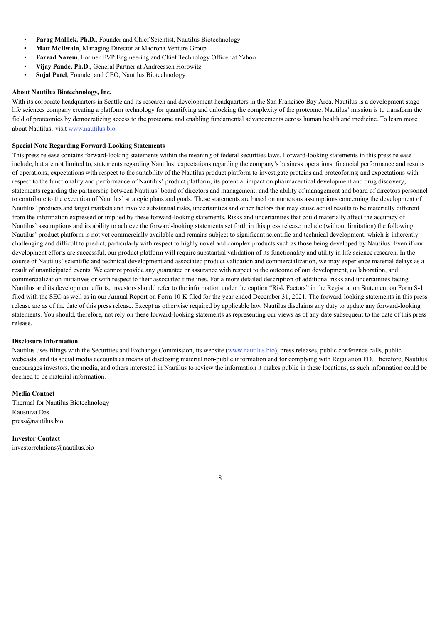- **Parag Mallick, Ph.D.**, Founder and Chief Scientist, Nautilus Biotechnology
- **• Matt McIlwain**, Managing Director at Madrona Venture Group
- **Farzad Nazem**, Former EVP Engineering and Chief Technology Officer at Yahoo
- **Vijay Pande, Ph.D.**, General Partner at Andreessen Horowitz
- **Sujal Patel**, Founder and CEO, Nautilus Biotechnology

#### **About Nautilus Biotechnology, Inc.**

With its corporate headquarters in Seattle and its research and development headquarters in the San Francisco Bay Area, Nautilus is a development stage life sciences company creating a platform technology for quantifying and unlocking the complexity of the proteome. Nautilus' mission is to transform the field of proteomics by democratizing access to the proteome and enabling fundamental advancements across human health and medicine. To learn more about Nautilus, visit www.nautilus.bio.

#### **Special Note Regarding Forward-Looking Statements**

This press release contains forward-looking statements within the meaning of federal securities laws. Forward-looking statements in this press release include, but are not limited to, statements regarding Nautilus' expectations regarding the company's business operations, financial performance and results of operations; expectations with respect to the suitability of the Nautilus product platform to investigate proteins and proteoforms; and expectations with respect to the functionality and performance of Nautilus' product platform, its potential impact on pharmaceutical development and drug discovery; statements regarding the partnership between Nautilus' board of directors and management; and the ability of management and board of directors personnel to contribute to the execution of Nautilus' strategic plans and goals. These statements are based on numerous assumptions concerning the development of Nautilus' products and target markets and involve substantial risks, uncertainties and other factors that may cause actual results to be materially different from the information expressed or implied by these forward-looking statements. Risks and uncertainties that could materially affect the accuracy of Nautilus' assumptions and its ability to achieve the forward-looking statements set forth in this press release include (without limitation) the following: Nautilus' product platform is not yet commercially available and remains subject to significant scientific and technical development, which is inherently challenging and difficult to predict, particularly with respect to highly novel and complex products such as those being developed by Nautilus. Even if our development efforts are successful, our product platform will require substantial validation of its functionality and utility in life science research. In the course of Nautilus' scientific and technical development and associated product validation and commercialization, we may experience material delays as a result of unanticipated events. We cannot provide any guarantee or assurance with respect to the outcome of our development, collaboration, and commercialization initiatives or with respect to their associated timelines. For a more detailed description of additional risks and uncertainties facing Nautilus and its development efforts, investors should refer to the information under the caption "Risk Factors" in the Registration Statement on Form S-1 filed with the SEC as well as in our Annual Report on Form 10-K filed for the year ended December 31, 2021. The forward-looking statements in this press release are as of the date of this press release. Except as otherwise required by applicable law, Nautilus disclaims any duty to update any forward-looking statements. You should, therefore, not rely on these forward-looking statements as representing our views as of any date subsequent to the date of this press release.

#### **Disclosure Information**

Nautilus uses filings with the Securities and Exchange Commission, its website (www.nautilus.bio), press releases, public conference calls, public webcasts, and its social media accounts as means of disclosing material non-public information and for complying with Regulation FD. Therefore, Nautilus encourages investors, the media, and others interested in Nautilus to review the information it makes public in these locations, as such information could be deemed to be material information.

### **Media Contact**

Thermal for Nautilus Biotechnology Kaustuva Das press@nautilus.bio

**Investor Contact** investorrelations@nautilus.bio

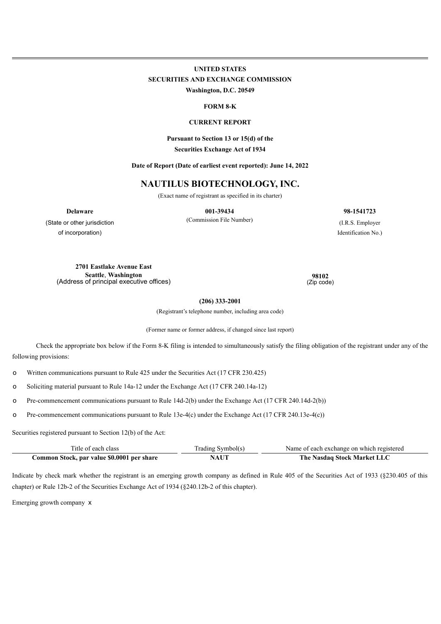# **UNITED STATES SECURITIES AND EXCHANGE COMMISSION Washington, D.C. 20549**

**FORM 8-K**

#### **CURRENT REPORT**

**Pursuant to Section 13 or 15(d) of the**

**Securities Exchange Act of 1934**

**Date of Report (Date of earliest event reported): June 14, 2022**

# **NAUTILUS BIOTECHNOLOGY, INC.**

(Exact name of registrant as specified in its charter)

**Delaware 001-39434 98-1541723**

(Commission File Number) (I.R.S. Employer Identification No.)

(State or other jurisdiction of incorporation)

> **2701 Eastlake Avenue East Seattle**, **Washington** (Address of principal executive offices)

**98102** (Zip code)

**(206) 333-2001**

(Registrant's telephone number, including area code)

(Former name or former address, if changed since last report)

Check the appropriate box below if the Form 8-K filing is intended to simultaneously satisfy the filing obligation of the registrant under any of the following provisions:

o Written communications pursuant to Rule 425 under the Securities Act (17 CFR 230.425)

o Soliciting material pursuant to Rule 14a-12 under the Exchange Act (17 CFR 240.14a-12)

o Pre-commencement communications pursuant to Rule 14d-2(b) under the Exchange Act (17 CFR 240.14d-2(b))

o Pre-commencement communications pursuant to Rule 13e-4(c) under the Exchange Act (17 CFR 240.13e-4(c))

Securities registered pursuant to Section 12(b) of the Act:

| Title of each class                        | Trading Symbol(s) | Name of each exchange on which registered |
|--------------------------------------------|-------------------|-------------------------------------------|
| Common Stock, par value \$0.0001 per share | NAUT              | The Nasdaq Stock Market LLC               |

Indicate by check mark whether the registrant is an emerging growth company as defined in Rule 405 of the Securities Act of 1933 (§230.405 of this chapter) or Rule 12b-2 of the Securities Exchange Act of 1934 (§240.12b-2 of this chapter).

Emerging growth company x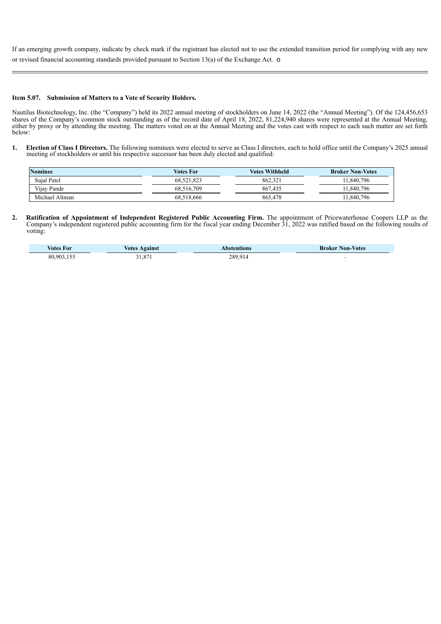If an emerging growth company, indicate by check mark if the registrant has elected not to use the extended transition period for complying with any new or revised financial accounting standards provided pursuant to Section 13(a) of the Exchange Act. o

#### **Item 5.07. Submission of Matters to a Vote of Security Holders.**

Nautilus Biotechnology, Inc. (the "Company") held its 2022 annual meeting of stockholders on June 14, 2022 (the "Annual Meeting"). Of the 124,456,653 shares of the Company's common stock outstanding as of the record date of April 18, 2022, 81,224,940 shares were represented at the Annual Meeting, either by proxy or by attending the meeting. The matters voted on at the Annual Meeting and the votes cast with respect to each such matter are set forth below:

**1. Election of Class I Directors.** The following nominees were elected to serve as Class I directors, each to hold office until the Company's 2025 annual meeting of stockholders or until his respective successor has been duly elected and qualified:

| <b>Nominee</b> | Votes For  | Votes Withheld | <b>Broker Non-Votes</b> |
|----------------|------------|----------------|-------------------------|
| Sujal Patel    | 68.521.823 | 862.321        | 11.840.796              |
| Vijay Pande    | 68.516.709 | 867.435        | 11.840.796              |
| Michael Altman | 68.518.666 | 865.478        | 11.840.796              |

**2. Ratification of Appointment of Independent Registered Public Accounting Firm.** The appointment of Pricewaterhouse Coopers LLP as the Company's independent registered public accounting firm for the fiscal year ending December 31, 2022 was ratified based on the following results of voting:

| Votes For  | Votes<br>Against | bstentions | <b>Non-Votes</b><br><b>Broker</b> |
|------------|------------------|------------|-----------------------------------|
| 80,903,155 | .87              | 289,914    |                                   |